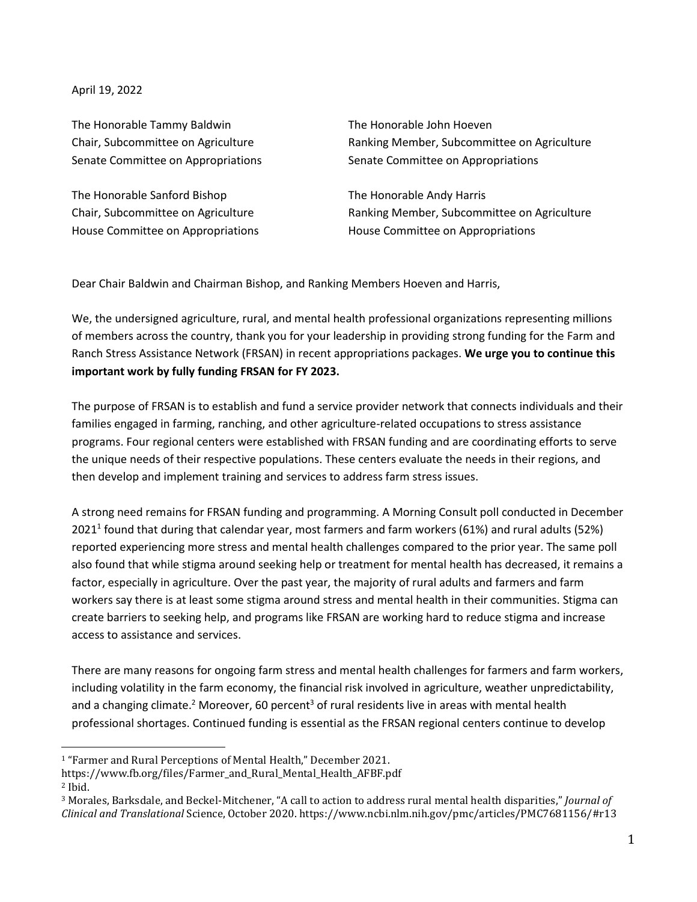April 19, 2022

The Honorable Tammy Baldwin The Honorable John Hoeven Senate Committee on Appropriations Senate Committee on Appropriations

The Honorable Sanford Bishop The Honorable Andy Harris House Committee on Appropriations House Committee on Appropriations

Chair, Subcommittee on Agriculture Ranking Member, Subcommittee on Agriculture

Chair, Subcommittee on Agriculture Ranking Member, Subcommittee on Agriculture

Dear Chair Baldwin and Chairman Bishop, and Ranking Members Hoeven and Harris,

We, the undersigned agriculture, rural, and mental health professional organizations representing millions of members across the country, thank you for your leadership in providing strong funding for the Farm and Ranch Stress Assistance Network (FRSAN) in recent appropriations packages. **We urge you to continue this important work by fully funding FRSAN for FY 2023.**

The purpose of FRSAN is to establish and fund a service provider network that connects individuals and their families engaged in farming, ranching, and other agriculture-related occupations to stress assistance programs. Four regional centers were established with FRSAN funding and are coordinating efforts to serve the unique needs of their respective populations. These centers evaluate the needs in their regions, and then develop and implement training and services to address farm stress issues.

A strong need remains for FRSAN funding and programming. A Morning Consult poll conducted in December 2021<sup>1</sup> found that during that calendar year, most farmers and farm workers (61%) and rural adults (52%) reported experiencing more stress and mental health challenges compared to the prior year. The same poll also found that while stigma around seeking help or treatment for mental health has decreased, it remains a factor, especially in agriculture. Over the past year, the majority of rural adults and farmers and farm workers say there is at least some stigma around stress and mental health in their communities. Stigma can create barriers to seeking help, and programs like FRSAN are working hard to reduce stigma and increase access to assistance and services.

There are many reasons for ongoing farm stress and mental health challenges for farmers and farm workers, including volatility in the farm economy, the financial risk involved in agriculture, weather unpredictability, and a changing climate.<sup>2</sup> Moreover, 60 percent<sup>3</sup> of rural residents live in areas with mental health professional shortages. Continued funding is essential as the FRSAN regional centers continue to develop

<sup>1</sup> "Farmer and Rural Perceptions of Mental Health," December 2021.

https://www.fb.org/files/Farmer\_and\_Rural\_Mental\_Health\_AFBF.pdf

<sup>2</sup> Ibid.

<sup>3</sup> Morales, Barksdale, and Beckel-Mitchener, "A call to action to address rural mental health disparities," *Journal of Clinical and Translational* Science, October 2020. https://www.ncbi.nlm.nih.gov/pmc/articles/PMC7681156/#r13